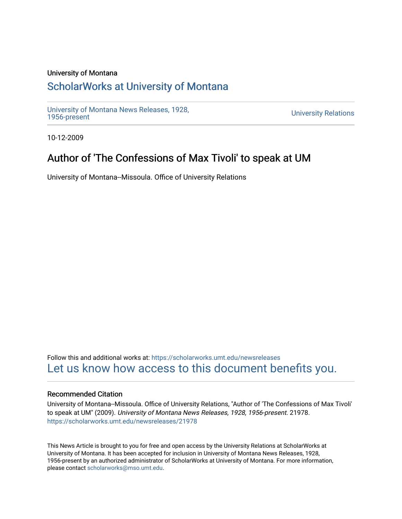### University of Montana

## [ScholarWorks at University of Montana](https://scholarworks.umt.edu/)

[University of Montana News Releases, 1928,](https://scholarworks.umt.edu/newsreleases) 

**University Relations** 

10-12-2009

# Author of 'The Confessions of Max Tivoli' to speak at UM

University of Montana--Missoula. Office of University Relations

Follow this and additional works at: [https://scholarworks.umt.edu/newsreleases](https://scholarworks.umt.edu/newsreleases?utm_source=scholarworks.umt.edu%2Fnewsreleases%2F21978&utm_medium=PDF&utm_campaign=PDFCoverPages) [Let us know how access to this document benefits you.](https://goo.gl/forms/s2rGfXOLzz71qgsB2) 

### Recommended Citation

University of Montana--Missoula. Office of University Relations, "Author of 'The Confessions of Max Tivoli' to speak at UM" (2009). University of Montana News Releases, 1928, 1956-present. 21978. [https://scholarworks.umt.edu/newsreleases/21978](https://scholarworks.umt.edu/newsreleases/21978?utm_source=scholarworks.umt.edu%2Fnewsreleases%2F21978&utm_medium=PDF&utm_campaign=PDFCoverPages) 

This News Article is brought to you for free and open access by the University Relations at ScholarWorks at University of Montana. It has been accepted for inclusion in University of Montana News Releases, 1928, 1956-present by an authorized administrator of ScholarWorks at University of Montana. For more information, please contact [scholarworks@mso.umt.edu.](mailto:scholarworks@mso.umt.edu)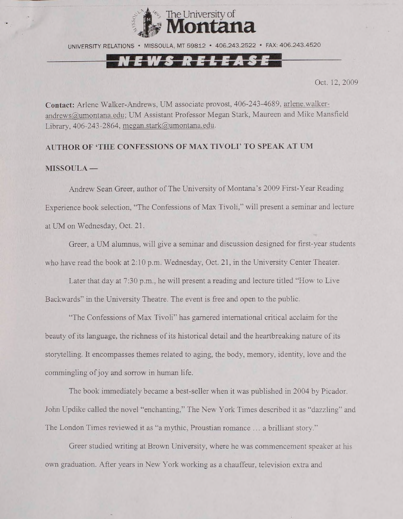

UNIVERSITY RELATIONS · MISSOULA, MT 59812 · 406,243,2522 · FAX: 406,243,4520

#### EWS RELEASI

Oct. 12, 2009

**Contact:** Arlene Walker-Andrews, UM associate provost, 406-243-4689, [arlene.walker](mailto:arlene.walker-andrews@umontana.edu)[andrews@umontana.edu](mailto:arlene.walker-andrews@umontana.edu); UM Assistant Professor Megan Stark, Maureen and Mike Mansfield Library, 406-243-2864, [megan.stark@umontana.edu](mailto:megan.stark@umontana.edu).

#### **AUTHOR OF 'TIIE CONFESSIONS OF MAX TIVOLI' TO SPEAK AT UM**

#### **MISSOULA —**

Andrew Sean Greer, author of The University of Montana's 2009 First-Year Reading Experience book selection, "The Confessions of Max Tivoli," will present a seminar and lecture at UM on Wednesday, Oct. 21.

Greer, a UM alumnus, will give a seminar and discussion designed for first-year students who have read the book at  $2:10$  p.m. Wednesday, Oct. 21, in the University Center Theater.

Later that day at 7:30 p.m., he will present a reading and lecture titled "How to Live Backwards" in the University Theatre. The event is free and open to the public.

"The Confessions of Max Tivoli" has garnered international critical acclaim for the beauty of its language, the richness of its historical detail and the heartbreaking nature of its storytelling. It encompasses themes related to aging, the body, memory, identity, love and the commingling of joy and sorrow in human life.

The book immediately became a best-seller when it was published in 2004 by Picador. John Updike called the novel "enchanting," The New York Times described it as "dazzling" and The London Times reviewed it as "a mythic, Proustian romance ... a brilliant story."

Greer studied writing at Brown University, where he was commencement speaker at his own graduation. After years in New York working as a chauffeur, television extra and